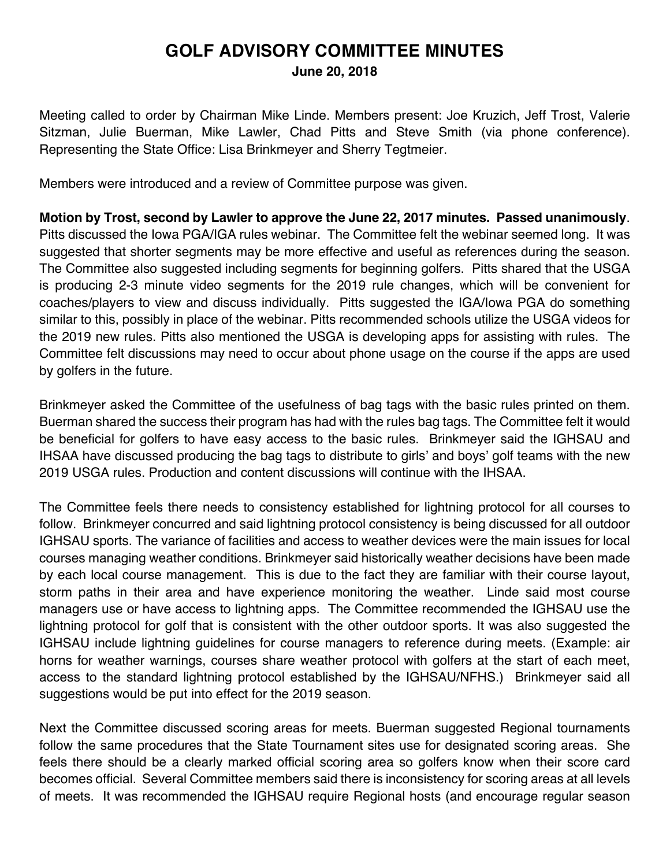## **GOLF ADVISORY COMMITTEE MINUTES June 20, 2018**

Meeting called to order by Chairman Mike Linde. Members present: Joe Kruzich, Jeff Trost, Valerie Sitzman, Julie Buerman, Mike Lawler, Chad Pitts and Steve Smith (via phone conference). Representing the State Office: Lisa Brinkmeyer and Sherry Tegtmeier.

Members were introduced and a review of Committee purpose was given.

**Motion by Trost, second by Lawler to approve the June 22, 2017 minutes. Passed unanimously**. Pitts discussed the Iowa PGA/IGA rules webinar. The Committee felt the webinar seemed long. It was suggested that shorter segments may be more effective and useful as references during the season. The Committee also suggested including segments for beginning golfers. Pitts shared that the USGA is producing 2-3 minute video segments for the 2019 rule changes, which will be convenient for coaches/players to view and discuss individually. Pitts suggested the IGA/Iowa PGA do something similar to this, possibly in place of the webinar. Pitts recommended schools utilize the USGA videos for the 2019 new rules. Pitts also mentioned the USGA is developing apps for assisting with rules. The Committee felt discussions may need to occur about phone usage on the course if the apps are used by golfers in the future.

Brinkmeyer asked the Committee of the usefulness of bag tags with the basic rules printed on them. Buerman shared the success their program has had with the rules bag tags. The Committee felt it would be beneficial for golfers to have easy access to the basic rules. Brinkmeyer said the IGHSAU and IHSAA have discussed producing the bag tags to distribute to girls' and boys' golf teams with the new 2019 USGA rules. Production and content discussions will continue with the IHSAA.

The Committee feels there needs to consistency established for lightning protocol for all courses to follow. Brinkmeyer concurred and said lightning protocol consistency is being discussed for all outdoor IGHSAU sports. The variance of facilities and access to weather devices were the main issues for local courses managing weather conditions. Brinkmeyer said historically weather decisions have been made by each local course management. This is due to the fact they are familiar with their course layout, storm paths in their area and have experience monitoring the weather. Linde said most course managers use or have access to lightning apps. The Committee recommended the IGHSAU use the lightning protocol for golf that is consistent with the other outdoor sports. It was also suggested the IGHSAU include lightning guidelines for course managers to reference during meets. (Example: air horns for weather warnings, courses share weather protocol with golfers at the start of each meet, access to the standard lightning protocol established by the IGHSAU/NFHS.) Brinkmeyer said all suggestions would be put into effect for the 2019 season.

Next the Committee discussed scoring areas for meets. Buerman suggested Regional tournaments follow the same procedures that the State Tournament sites use for designated scoring areas. She feels there should be a clearly marked official scoring area so golfers know when their score card becomes official. Several Committee members said there is inconsistency for scoring areas at all levels of meets. It was recommended the IGHSAU require Regional hosts (and encourage regular season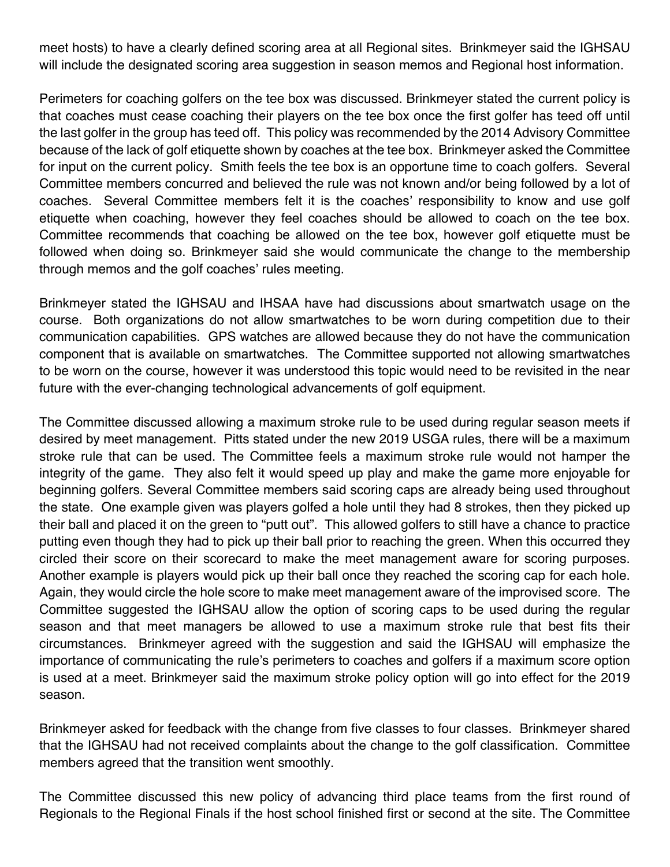meet hosts) to have a clearly defined scoring area at all Regional sites. Brinkmeyer said the IGHSAU will include the designated scoring area suggestion in season memos and Regional host information.

Perimeters for coaching golfers on the tee box was discussed. Brinkmeyer stated the current policy is that coaches must cease coaching their players on the tee box once the first golfer has teed off until the last golfer in the group has teed off. This policy was recommended by the 2014 Advisory Committee because of the lack of golf etiquette shown by coaches at the tee box. Brinkmeyer asked the Committee for input on the current policy. Smith feels the tee box is an opportune time to coach golfers. Several Committee members concurred and believed the rule was not known and/or being followed by a lot of coaches. Several Committee members felt it is the coaches' responsibility to know and use golf etiquette when coaching, however they feel coaches should be allowed to coach on the tee box. Committee recommends that coaching be allowed on the tee box, however golf etiquette must be followed when doing so. Brinkmeyer said she would communicate the change to the membership through memos and the golf coaches' rules meeting.

Brinkmeyer stated the IGHSAU and IHSAA have had discussions about smartwatch usage on the course. Both organizations do not allow smartwatches to be worn during competition due to their communication capabilities. GPS watches are allowed because they do not have the communication component that is available on smartwatches. The Committee supported not allowing smartwatches to be worn on the course, however it was understood this topic would need to be revisited in the near future with the ever-changing technological advancements of golf equipment.

The Committee discussed allowing a maximum stroke rule to be used during regular season meets if desired by meet management. Pitts stated under the new 2019 USGA rules, there will be a maximum stroke rule that can be used. The Committee feels a maximum stroke rule would not hamper the integrity of the game. They also felt it would speed up play and make the game more enjoyable for beginning golfers. Several Committee members said scoring caps are already being used throughout the state. One example given was players golfed a hole until they had 8 strokes, then they picked up their ball and placed it on the green to "putt out". This allowed golfers to still have a chance to practice putting even though they had to pick up their ball prior to reaching the green. When this occurred they circled their score on their scorecard to make the meet management aware for scoring purposes. Another example is players would pick up their ball once they reached the scoring cap for each hole. Again, they would circle the hole score to make meet management aware of the improvised score. The Committee suggested the IGHSAU allow the option of scoring caps to be used during the regular season and that meet managers be allowed to use a maximum stroke rule that best fits their circumstances. Brinkmeyer agreed with the suggestion and said the IGHSAU will emphasize the importance of communicating the rule's perimeters to coaches and golfers if a maximum score option is used at a meet. Brinkmeyer said the maximum stroke policy option will go into effect for the 2019 season.

Brinkmeyer asked for feedback with the change from five classes to four classes. Brinkmeyer shared that the IGHSAU had not received complaints about the change to the golf classification. Committee members agreed that the transition went smoothly.

The Committee discussed this new policy of advancing third place teams from the first round of Regionals to the Regional Finals if the host school finished first or second at the site. The Committee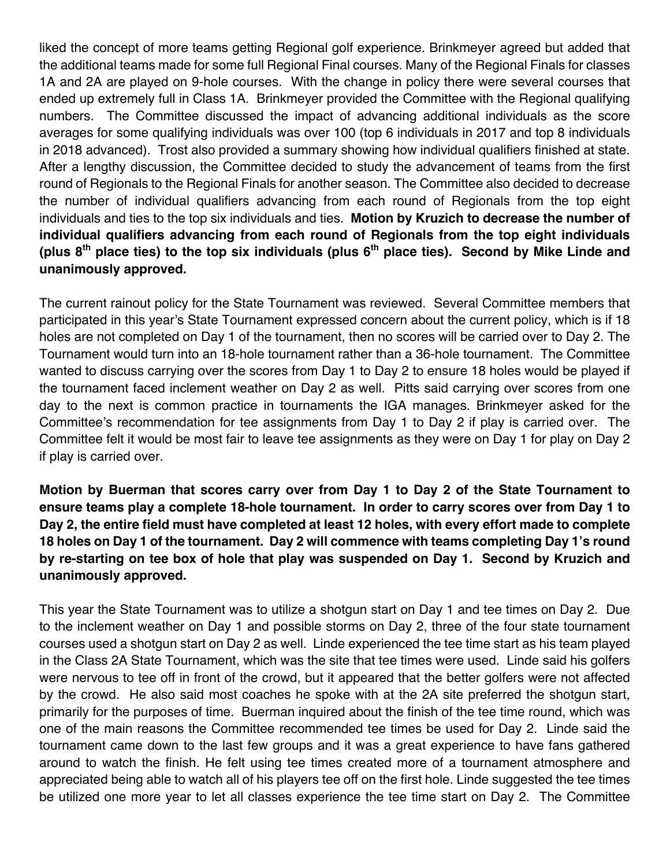liked the concept of more teams getting Regional golf experience. Brinkmeyer agreed but added that the additional teams made for some full Regional Final courses. Many of the Regional Finals for classes 1A and 2A are played on 9-hole courses. With the change in policy there were several courses that ended up extremely full in Class 1A. Brinkmeyer provided the Committee with the Regional qualifying numbers. The Committee discussed the impact of advancing additional individuals as the score averages for some qualifying individuals was over 100 (top 6 individuals in 2017 and top 8 individuals in 2018 advanced). Trost also provided a summary showing how individual qualifiers finished at state. After a lengthy discussion, the Committee decided to study the advancement of teams from the first round of Regionals to the Regional Finals for another season. The Committee also decided to decrease the number of individual qualifiers advancing from each round of Regionals from the top eight individuals and ties to the top six individuals and ties. **Motion by Kruzich to decrease the number of individual qualifiers advancing from each round of Regionals from the top eight individuals (plus 8th place ties) to the top six individuals (plus 6th place ties). Second by Mike Linde and unanimously approved.**

The current rainout policy for the State Tournament was reviewed. Several Committee members that participated in this year's State Tournament expressed concern about the current policy, which is if 18 holes are not completed on Day 1 of the tournament, then no scores will be carried over to Day 2. The Tournament would turn into an 18-hole tournament rather than a 36-hole tournament. The Committee wanted to discuss carrying over the scores from Day 1 to Day 2 to ensure 18 holes would be played if the tournament faced inclement weather on Day 2 as well. Pitts said carrying over scores from one day to the next is common practice in tournaments the IGA manages. Brinkmeyer asked for the Committee's recommendation for tee assignments from Day 1 to Day 2 if play is carried over. The Committee felt it would be most fair to leave tee assignments as they were on Day 1 for play on Day 2 if play is carried over.

**Motion by Buerman that scores carry over from Day 1 to Day 2 of the State Tournament to ensure teams play a complete 18-hole tournament. In order to carry scores over from Day 1 to Day 2, the entire field must have completed at least 12 holes, with every effort made to complete 18 holes on Day 1 of the tournament. Day 2 will commence with teams completing Day 1's round by re-starting on tee box of hole that play was suspended on Day 1. Second by Kruzich and unanimously approved.** 

This year the State Tournament was to utilize a shotgun start on Day 1 and tee times on Day 2. Due to the inclement weather on Day 1 and possible storms on Day 2, three of the four state tournament courses used a shotgun start on Day 2 as well. Linde experienced the tee time start as his team played in the Class 2A State Tournament, which was the site that tee times were used. Linde said his golfers were nervous to tee off in front of the crowd, but it appeared that the better golfers were not affected by the crowd. He also said most coaches he spoke with at the 2A site preferred the shotgun start, primarily for the purposes of time. Buerman inquired about the finish of the tee time round, which was one of the main reasons the Committee recommended tee times be used for Day 2. Linde said the tournament came down to the last few groups and it was a great experience to have fans gathered around to watch the finish. He felt using tee times created more of a tournament atmosphere and appreciated being able to watch all of his players tee off on the first hole. Linde suggested the tee times be utilized one more year to let all classes experience the tee time start on Day 2. The Committee